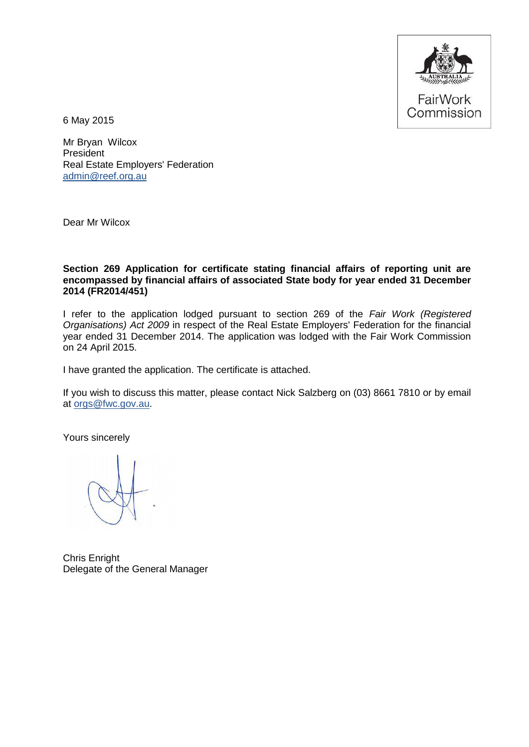

6 May 2015

Mr Bryan Wilcox **President** Real Estate Employers' Federation [admin@reef.org.au](mailto:admin@reef.org.au)

Dear Mr Wilcox

#### **Section 269 Application for certificate stating financial affairs of reporting unit are encompassed by financial affairs of associated State body for year ended 31 December 2014 (FR2014/451)**

I refer to the application lodged pursuant to section 269 of the *Fair Work (Registered Organisations) Act 2009* in respect of the Real Estate Employers' Federation for the financial year ended 31 December 2014. The application was lodged with the Fair Work Commission on 24 April 2015.

I have granted the application. The certificate is attached.

If you wish to discuss this matter, please contact Nick Salzberg on (03) 8661 7810 or by email at [orgs@fwc.gov.au.](mailto:orgs@fwc.gov.au)

Yours sincerely

Chris Enright Delegate of the General Manager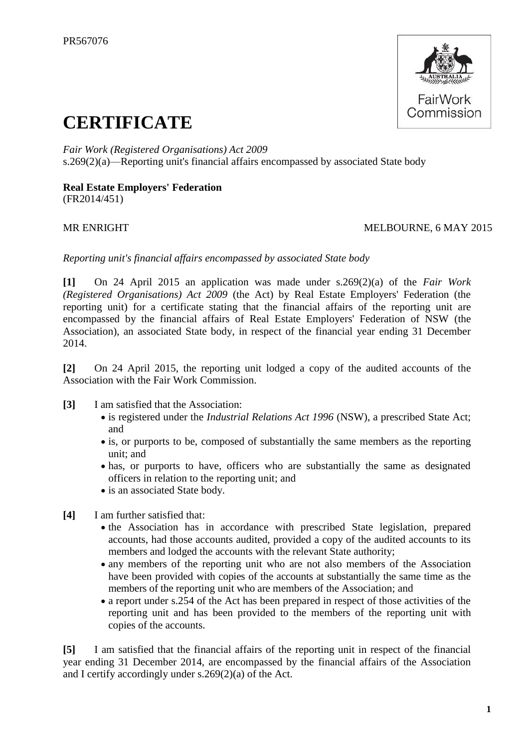

# **CERTIFICATE**

*Fair Work (Registered Organisations) Act 2009* s.269(2)(a)—Reporting unit's financial affairs encompassed by associated State body

#### **Real Estate Employers' Federation** (FR2014/451)

#### MR ENRIGHT MELBOURNE, 6 MAY 2015

*Reporting unit's financial affairs encompassed by associated State body*

**[1]** On 24 April 2015 an application was made under s.269(2)(a) of the *Fair Work (Registered Organisations) Act 2009* (the Act) by Real Estate Employers' Federation (the reporting unit) for a certificate stating that the financial affairs of the reporting unit are encompassed by the financial affairs of Real Estate Employers' Federation of NSW (the Association), an associated State body, in respect of the financial year ending 31 December 2014.

**[2]** On 24 April 2015, the reporting unit lodged a copy of the audited accounts of the Association with the Fair Work Commission.

- **[3]** I am satisfied that the Association:
	- is registered under the *Industrial Relations Act 1996* (NSW), a prescribed State Act; and
	- is, or purports to be, composed of substantially the same members as the reporting unit; and
	- has, or purports to have, officers who are substantially the same as designated officers in relation to the reporting unit; and
	- is an associated State body.
- **[4]** I am further satisfied that:
	- the Association has in accordance with prescribed State legislation, prepared accounts, had those accounts audited, provided a copy of the audited accounts to its members and lodged the accounts with the relevant State authority;
	- any members of the reporting unit who are not also members of the Association have been provided with copies of the accounts at substantially the same time as the members of the reporting unit who are members of the Association; and
	- a report under s.254 of the Act has been prepared in respect of those activities of the reporting unit and has been provided to the members of the reporting unit with copies of the accounts.

**[5]** I am satisfied that the financial affairs of the reporting unit in respect of the financial year ending 31 December 2014, are encompassed by the financial affairs of the Association and I certify accordingly under s.269(2)(a) of the Act.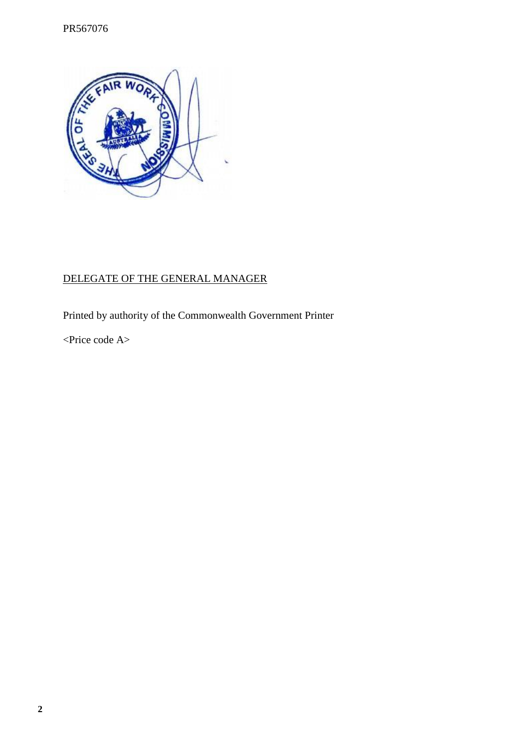

# DELEGATE OF THE GENERAL MANAGER

Printed by authority of the Commonwealth Government Printer

<Price code A>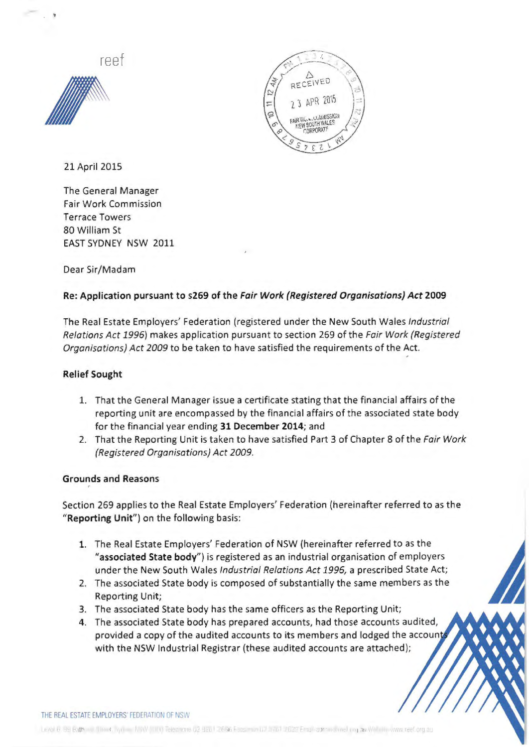reef





21 April 2015

The General Manager Fair Work Commission Terrace Towers 80 William St EAST SYDNEY NSW 2011

Dear Sir/Madam

#### Re: Application pursuant to s269 of the Fair Work (Registered Organisations) Act 2009

The Real Estate Employers' Federation (registered under the New South Wales Industrial Relations Act *1996)* makes application pursuant to section 269 of the Fair Work (Registered Organisations) Act 2009 to be taken to have satisfied the requirements of the Act.

#### Relief Sought

- 1. That the General Manager issue a certificate stating that the financial affairs of the reporting unit are encompassed by the financial affairs of the associated state body for the financial year ending 31 December 2014; and
- 2. That the Reporting Unit is taken to have satisfied Part 3 of Chapter 8 of the Fair Work (Registered Organisations) Act 2009.

#### Grounds and Reasons

Section 269 applies to the Real Estate Employers' Federation (hereinafter referred to as the "Reporting Unit") on the following basis:

- 1. The Real Estate Employers' Federation of NSW (hereinafter referred to as the "associated State body") is registered as an industrial organisation of employers under the New South Wales Industrial Relations Act *1996,* a prescribed State Act;
- 2. The associated State body is composed of substantially the same members as the Reporting Unit;
- 3. The associated State body has the same officers as the Reporting Unit;
- 4. The associated State body has prepared accounts, had those accounts audited, provided a copy of the audited accounts to its members and lodged the accoun with the NSW Industrial Registrar (these audited accounts are attached);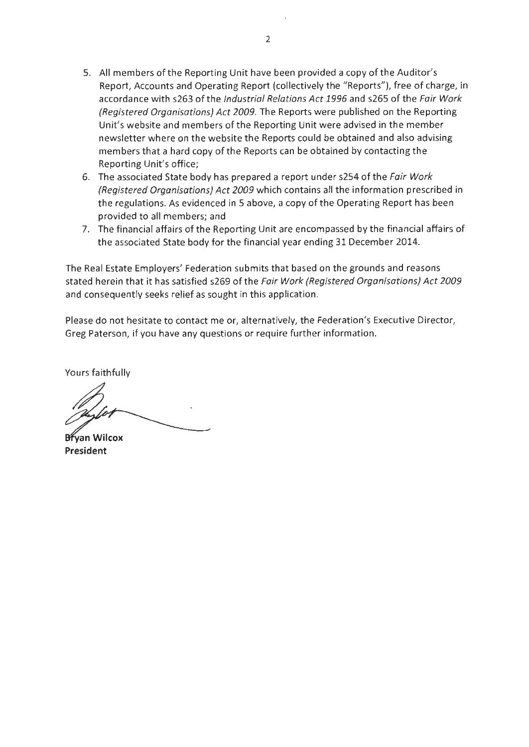- 5. All members of the Reporting Unit have been provided a copy of the Auditor's Report, Accounts and Operating Report (collectively the "Reports"), free of charge, in accordance with s263 of the Industrial Relations Act 1996 and s265 of the Fair Work {Registered Organisations) Act 2009. The Reports were published on the Reporting Unit's website and members of the Reporting Unit were advised in the member newsletter where on the website the Reports could be obtained and also advising members that a hard copy of the Reports can be obtained by contacting the Reporting Unit's office;
- 6. The associated State body has prepared a report under s254 of the Fair Work {Registered Organisations) Act 2009 which contains all the information prescribed in the regulations. As evidenced in 5 above, a copy of the Operating Report has been provided to all members; and
- 7. The financial affairs of the Reporting Unit are encompassed by the financial affairs of the associated State body for the financial year ending 31 December 2014.

The Real Estate Employers' Federation submits that based on the grounds and reasons stated herein that it has satisfied s269 of the Fair Work {Registered Organisations) Act 2009 and consequently seeks relief as sought in this application.

Please do not hesitate to contact me or, alternatively, the Federation's Executive Director, Greg Paterson, if you have any questions or require further information.

Yours faithfully

**Brvan Wilcox** President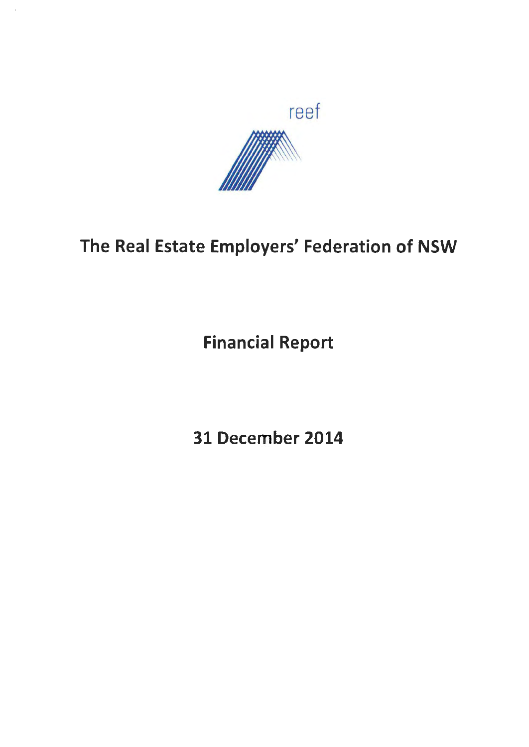

# The Real Estate Employers' Federation of NSW

Financial Report

31 December 2014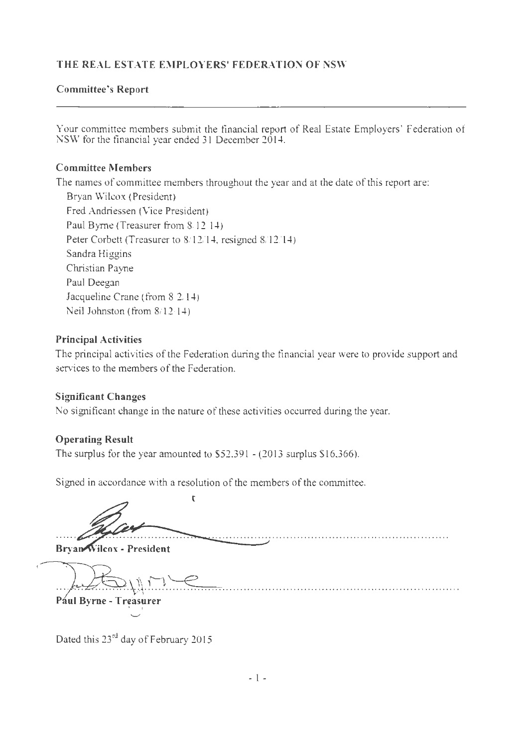#### **Committee's Report**

Your committee members submit the financial report of Real Estate Employers' Federation of NSW for the financial year ended 31 December 2014.

#### **Committee Members**

The names of committee members throughout the year and at the date of this report are: Bryan Wilcox (President) Fred Andriessen (Vice President) Paul Byrne (Treasurer from 8.12-14) Peter Corbett (Treasurer to 8/12/14, resigned 8/12/14) Sandra Higgins Christian Payne Paul Deegan Jacqueline Crane (from 8/2/14) Neil Johnston (from 8/12/14)

#### **Principal Activities**

The principal activities of the Federation during the financial year were to provide support and services to the members of the Federation.

#### **Significant Changes**

No significant change in the nature of these activities occurred during the year.

#### **Operating Result**

The surplus for the year amounted to  $$52,391 - (2013)$  surplus \$16,366).

Signed in accordance with a resolution of the members of the committee .

 $\overline{\mathbf{r}}$ 

**Bryan Wilcox - President** 

.... ... .. ~ ...... .~~~ ......... ........................................................ .

**Pául Byrne - Treasurer** 

Dated this 23<sup>rd</sup> day of February 2015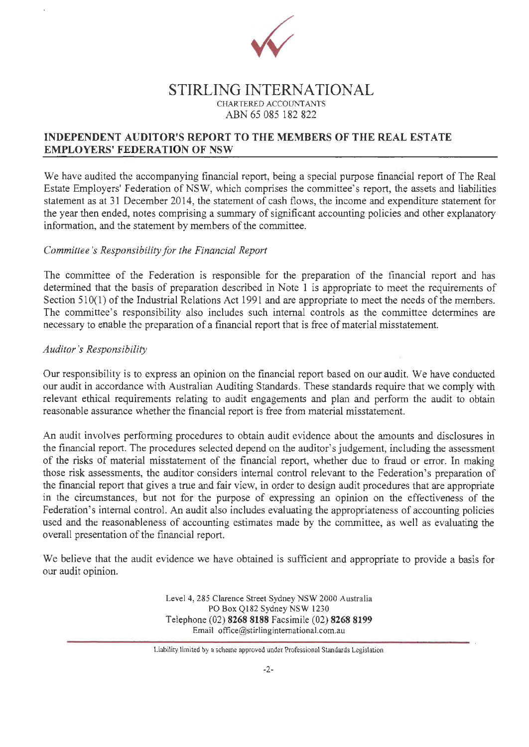

#### **STIRLING INTERNATIONAL**  CHARTERED ACCOUNTANTS ABN 65 085 182 822

#### **INDEPENDENT AUDITOR'S REPORT TO THE MEMBERS OF THE REAL ESTATE EMPLOYERS' FEDERATION OF NSW**

We have audited the accompanying financial report, being a special purpose financial report of The Real Estate Employers' Federation of NSW, which comprises the committee's report, the assets and liabilities statement as at 31 December 2014, the statement of cash flows, the income and expenditure statement for the year then ended, notes comprising a summary of significant accounting policies and other explanatory information, and the statement by members of the committee.

#### *Committee 's Responsibility for the Financial Report*

The committee of the Federation is responsible for the preparation of the financial report and has determined that the basis of preparation described in Note 1 is appropriate to meet the requirements of Section  $510(1)$  of the Industrial Relations Act 1991 and are appropriate to meet the needs of the members. The committee's responsibility also includes such internal controls as the committee determines are necessary to enable the preparation of a financial report that is free of material misstatement.

#### *Auditor's Responsibility*

Our responsibility is to express an opinion on the financial report based on our audit. We have conducted our audit in accordance with Australian Auditing Standards. These standards require that we comply with relevant ethical requirements relating to audit engagements and plan and perform the audit to obtain reasonable assurance whether the financial report is free from material misstatement.

An audit involves performing procedures to obtain audit evidence about the amounts and disclosures in the financial report. The procedures selected depend on the auditor's judgement, including the assessment of the risks of material misstatement of the financial report, whether due to fraud or error. In making those risk assessments, the auditor considers internal control relevant to the Federation's preparation of the financial report that gives a true and fair view, in order to design audit procedures that are appropriate in the circumstances, but not for the purpose of expressing an opinion on the effectiveness of the Federation's internal control. An audit also includes evaluating the appropriateness of accounting policies used and the reasonableness of accounting estimates made by the committee, as well as evaluating the overall presentation of the financial report.

We believe that the audit evidence we have obtained is sufficient and appropriate to provide a basis for our audit opinion.

> Level 4, 285 Clarence Street Sydney NSW 2000 Australia PO Box Ql82 Sydney NSW 1230 Telephone (02) **8268 8188** Facsimile (02) **8268 8199**  Email office@stirlinginternational.com.au

Liability limited by a scheme approved under Professional Standards Legislation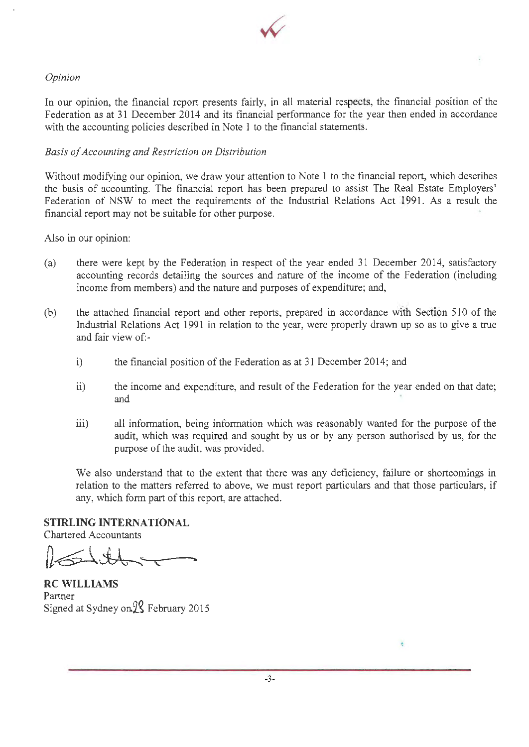

#### *Opinion*

In our opinion, the financial report presents fairly, in all material respects, the financial position of the Federation as at 31 December 2014 and its financial performance for the year then ended in accordance with the accounting policies described in Note 1 to the financial statements.

#### *Basis of Accounting and Restriction on Distribution*

Without modifying our opinion, we draw your attention to Note 1 to the financial report, which describes the basis of accounting. The financial report has been prepared to assist The Real Estate Employers' Federation of NSW to meet the requirements of the Industrial Relations Act 1991. As a result the financial report may not be suitable for other purpose.

Also in our opinion:

- (a) there were kept by the Federation in respect of the year ended 31 December 2014, satisfactory accounting records detailing the sources and nature of the income of the Federation (including income from members) and the nature and purposes of expenditure; and,
- (b) the attached financial report and other reports, prepared in accordance with Section 510 of the Industrial Relations Act 1991 in relation to the year, were properly drawn up so as to give a true and fair view of:
	- i) the financial position of the Federation as at 31 December 2014; and
	- ii) the income and expenditure, and result of the Federation for the year ended on that date; and
	- iii) all information, being information which was reasonably wanted for the purpose of the audit, which was required and sought by us or by any person authorised by us, for the purpose of the audit, was provided.

We also understand that to the extent that there was any deficiency, failure or shortcomings in relation to the matters referred to above, we must report particulars and that those particulars, if any, which form part of this report, are attached.

**STIRLING INTERNATIONAL** 

Chartered Accountants

**RCWILLIAMS**  Partner Signed at Sydney on<sup>22</sup> February 2015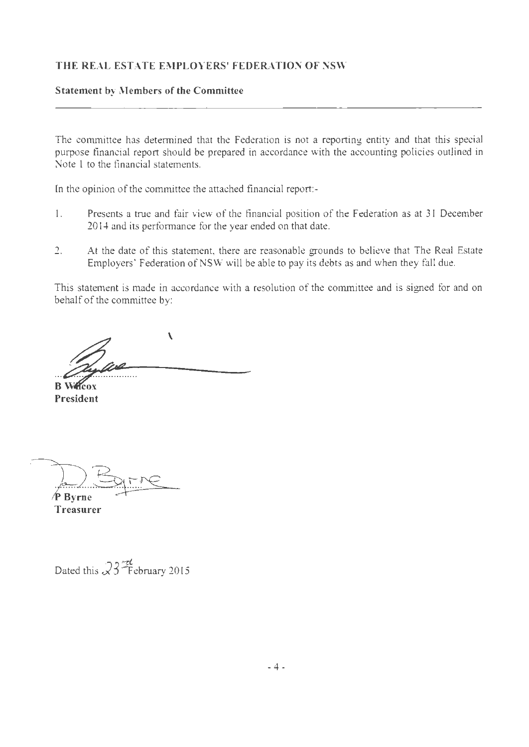#### **Statement by Members of the Committee**

The committee has determined that the Federation is not a reporting entity and that this special purpose financial report should be prepared in accordance with the accounting policies outlined in Note I to the financial statements.

In the opinion of the committee the attached financial report:-

- I. Presents a true and fair view of the financial position of the Federation as at 31 December 20 14 and its performance for the year ended on that date.
- 2. At the date of this statement, there are reasonable grounds to believe that The Real Estate Employers' Federation of NSW will be able to pay its debts as and when they fall due.

This statement is made in accordance with a resolution of the committee and is signed for and on behalf of the committee by:

 $\lambda$  $\mathscr{D}^\prime\!\mathscr{P}^\prime$ 

**President** 

∕P Bvrne

**Treasurer** 

Dated this  $\Im 3 \frac{2\epsilon}{\epsilon}$  February 2015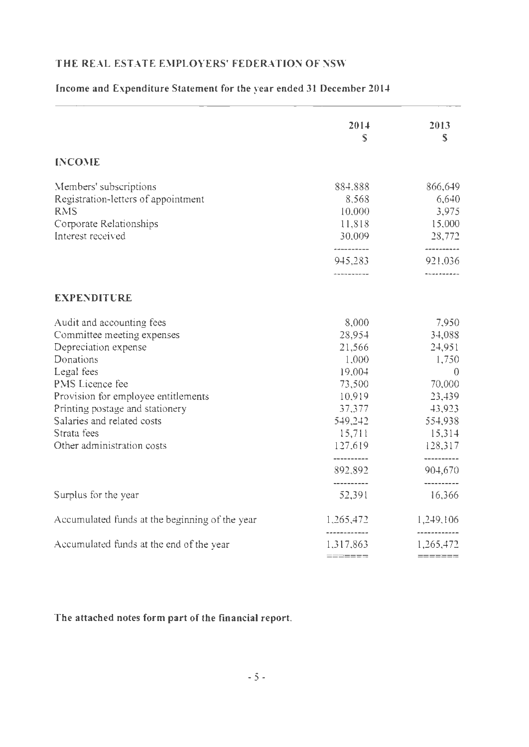|                                                                                                                                                                                                                                                                                    | 2014<br>$\mathbb{S}$                                                                                                     | 2013<br>S                                                                                                                         |
|------------------------------------------------------------------------------------------------------------------------------------------------------------------------------------------------------------------------------------------------------------------------------------|--------------------------------------------------------------------------------------------------------------------------|-----------------------------------------------------------------------------------------------------------------------------------|
| <b>INCOME</b>                                                                                                                                                                                                                                                                      |                                                                                                                          |                                                                                                                                   |
| Members' subscriptions<br>Registration-letters of appointment<br><b>RMS</b><br>Corporate Relationships<br>Interest received                                                                                                                                                        | 884,888<br>8,568<br>10,000<br>11,818<br>30,009                                                                           | 866,649<br>6,640<br>3,975<br>15,000<br>28,772                                                                                     |
|                                                                                                                                                                                                                                                                                    | ----------<br>945,283<br>----------                                                                                      | ----------<br>921,036<br>----------                                                                                               |
| <b>EXPENDITURE</b>                                                                                                                                                                                                                                                                 |                                                                                                                          |                                                                                                                                   |
| Audit and accounting fees<br>Committee meeting expenses<br>Depreciation expense<br>Donations<br>Legal fees<br>PMS Licence fee<br>Provision for employee entitlements<br>Printing postage and stationery<br>Salaries and related costs<br>Strata fees<br>Other administration costs | 8,000<br>28,954<br>21,566<br>1,000<br>19,004<br>73,500<br>10,919<br>37,377<br>549,242<br>15,711<br>127,619<br>---------- | 7,950<br>34,088<br>24,951<br>1,750<br>$\overline{0}$<br>70,000<br>23,439<br>43,923<br>554,938<br>15,314<br>128,317<br>----------- |
|                                                                                                                                                                                                                                                                                    | 892,892<br>----------                                                                                                    | 904,670<br>----------                                                                                                             |
| Surplus for the year                                                                                                                                                                                                                                                               | 52,391                                                                                                                   | 16,366                                                                                                                            |
| Accumulated funds at the beginning of the year                                                                                                                                                                                                                                     | 1,265,472                                                                                                                | 1,249,106                                                                                                                         |
| Accumulated funds at the end of the year                                                                                                                                                                                                                                           | -------------<br>1,317,863<br>=======                                                                                    | ------------<br>1,265,472<br>=======                                                                                              |

### **[ncome and Expenditure Statement for the year ended 31 December 2014**

#### **The attached notes form part of the financial report.**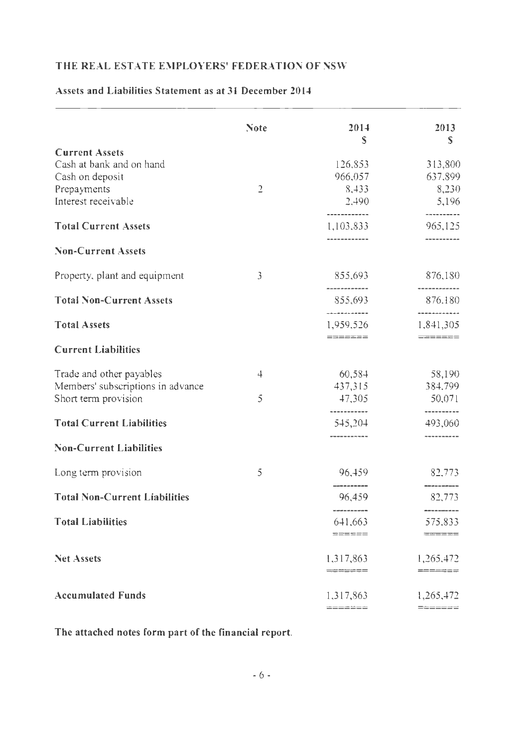# Assets and Liabilities Statement as at 31 December 2014

|                                      | <b>Note</b>    | 2014<br>S                                          | 2013<br>S                                             |
|--------------------------------------|----------------|----------------------------------------------------|-------------------------------------------------------|
| <b>Current Assets</b>                |                |                                                    |                                                       |
| Cash at bank and on hand             |                | 126,853                                            | 313,800                                               |
| Cash on deposit                      |                | 966,057                                            | 637,899                                               |
| Prepayments                          | $\overline{2}$ | 8,433                                              | 8,230                                                 |
| Interest receivable                  |                | 2,490                                              | 5,196                                                 |
| <b>Total Current Assets</b>          |                | 1,103,833                                          | ---------<br>965,125                                  |
| <b>Non-Current Assets</b>            |                |                                                    |                                                       |
| Property, plant and equipment        | 3              | 855,693                                            | 876,180                                               |
| <b>Total Non-Current Assets</b>      |                | ------------<br>855,693                            | 876.180                                               |
| <b>Total Assets</b>                  |                | 1,959,526                                          | ------------<br>1,841,305                             |
| <b>Current Liabilities</b>           |                | $========$                                         |                                                       |
| Trade and other payables             | 4              | 60,584                                             | 58,190                                                |
| Members' subscriptions in advance    |                | 437,315                                            | 384,799                                               |
| Short term provision                 | 5              | 47,305                                             | 50,071                                                |
| <b>Total Current Liabilities</b>     |                | -----------<br>545,204                             | -------<br>493,060                                    |
| <b>Non-Current Liabilities</b>       |                |                                                    |                                                       |
| Long term provision                  | 5              | 96,459                                             | 82,773                                                |
| <b>Total Non-Current Liabilities</b> |                | 96,459                                             | 82,773                                                |
| <b>Total Liabilities</b>             |                | we are not will see that the process of<br>641,663 | 200 and with the company and with the comp<br>575,833 |
|                                      |                | ======                                             | $=$ $=$ $=$ $=$ $=$ $=$                               |
| <b>Net Assets</b>                    |                | 1,317,863                                          | 1,265.472                                             |
|                                      |                | $=$ $=$ $=$ $=$ $=$ $=$                            | =======                                               |
| <b>Accumulated Funds</b>             |                | 1,317,863                                          | 1,265,472                                             |
|                                      |                | =======                                            | =======                                               |

The attached notes form part of the financial report.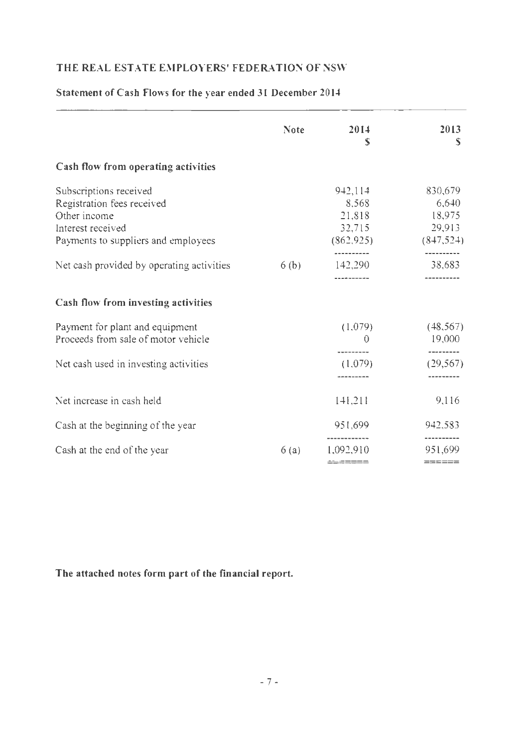# Note 2014 2013  $s \qquad \qquad$  s Cash flow from operating activities Subscriptions received 942,114 830,679 Registration fees received 8,568 6,640 Other income 21,818 18,975 Interest received 32,715 29,913 Payments to suppliers and employees (862,925) (847,524) ---------<br>Net cash provided by operating activities 6 (b) 142,290 38,683 ---------- ---------- Cash flow from investing activities Payment for plant and equipment (1,079) (48,567) Proceeds from sale of motor vehicle 0 19,000 ---------<br>
Net cash used in investing activities (1,079) (29,567) --------- --------- Net increase in cash held 141,21 9,116 Cash at the beginning of the year 951,699 942,583 ------------ ---------- Cash at the end of the year 6 (a) 1,092,9 10 951,699 ======== =====

#### Statement of Cash Flows for the year ended 31 December 2014

The attached notes form part of the fmancial report.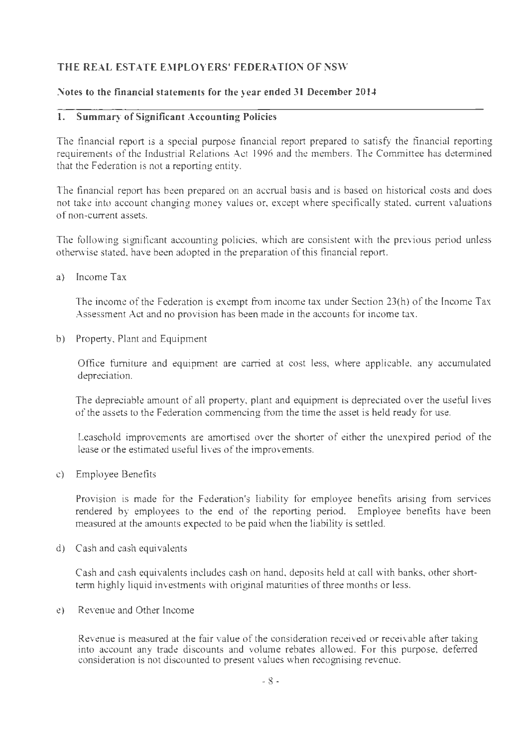#### **Notes to the financial statements for the year ended 31 December 20** *1-'*

#### **l. Summary of Significant Accounting Policies**

The financial report is a special purpose financial report prepared to satisfy the financial reporting requirements of the Industrial Relations Act 1996 and the members. The Committee has determined that the Federation is not a reporting entity.

The financial report has been prepared on an accrual basis and is based on historical costs and does not take into account changing money values or, except where specifically stated, current valuations of non-current assets.

The following significant accounting policies, which are consistent with the previous period unless otherwise stated, have been adopted in the preparation of this financial report.

a) Income Tax

The income of the Federation is exempt from income tax under Section 23(h) of the Income Tax Assessment Act and no provision has been made in the accounts for income tax.

b) Property, Plant and Equipment

Office furniture and equipment are carried at cost less, where applicable, any accumulated depreciation.

The depreciable amount of all property, plant and equipment is depreciated over the useful lives of the assets to the Federation commencing from the time the asset is held ready for use.

Leasehold improvements are amortised over the shorter of either the unexpired period of the lease or the estimated useful lives of the improvements.

c) Employee Benefits

Provision is made for the Federation's liability for employee benefits arising from services rendered by employees to the end of the reporting period. Employee benefits have been measured at the amounts expected to be paid when the liability is settled.

d) Cash and cash equivalents

Cash and cash equivalents includes cash on hand, deposits held at call with banks, other shortterm highly liquid investments with original maturities of three months or less.

e) Revenue and Other Income

Revenue is measured at the fair value of the consideration received or receivable after taking into account any trade discounts and volume rebates allowed. For this purpose, deferred consideration is not discounted to present values when recognising revenue.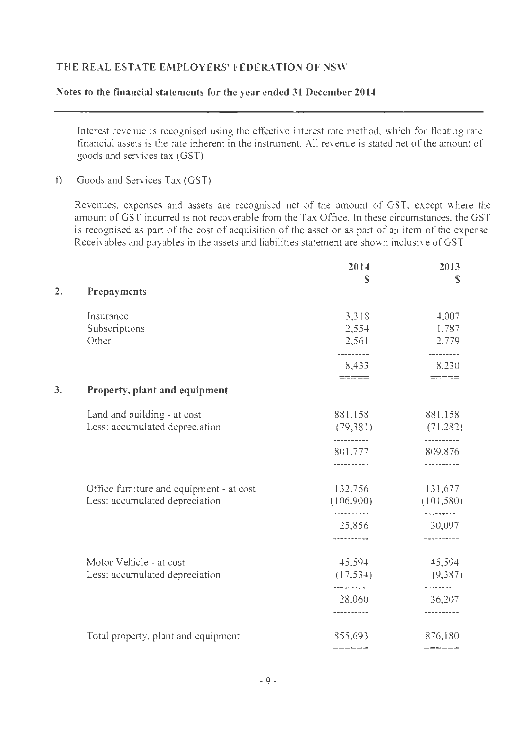#### Notes to the financial statements for the year ended 31 December 2014

Interest revenue is recognised using the effective interest rate method, which for tloating rate financial assets is the rate inherent in the instrument. All revenue is stated net of the amount of goods and services tax (GST).

f) Goods and Services Tax (GST)

Revenues, expenses and assets are recognised net of the amount of GST, except where the amount of GST incurred is not recoverable from the Tax Office. In these circumstances, the GST is recognised as part of the cost of acquisition of the asset or as part of an item of the expense. Receivables and payables in the assets and liabilities statement are shown inclusive of GST

|    |                                          | 2014                    | 2013                                 |
|----|------------------------------------------|-------------------------|--------------------------------------|
| 2. | Prepayments                              | S                       | S                                    |
|    |                                          |                         |                                      |
|    | Insurance                                | 3,318                   | 4,007                                |
|    | Subscriptions                            | 2,554                   | 1,787                                |
|    | Other                                    | 2,561                   | 2,779                                |
|    |                                          | ---------               | ---------                            |
|    |                                          | 8,433                   | 8.230                                |
|    |                                          | $=$ $=$ $=$ $=$ $=$     | $\equiv \equiv \equiv \equiv \equiv$ |
| 3. | Property, plant and equipment            |                         |                                      |
|    | Land and building - at cost              | 881,158                 | 881,158                              |
|    | Less: accumulated depreciation           | (79,381)                | (71, 282)                            |
|    |                                          | ----------              | ---------                            |
|    |                                          | 801,777                 | 809,876                              |
|    |                                          |                         |                                      |
|    | Office furniture and equipment - at cost | 132,756                 | 131,677                              |
|    | Less: accumulated depreciation           | (106,900)               | (101, 580)                           |
|    |                                          | aasaasaasaa<br>25,856   | ----------<br>30,097                 |
|    |                                          |                         |                                      |
|    |                                          |                         |                                      |
|    | Motor Vehicle - at cost                  | 45,594                  | 45,594                               |
|    | Less: accumulated depreciation           | (17, 534)<br>---------- | (9,387)<br>----------                |
|    |                                          | 28,060                  | 36,207                               |
|    |                                          | -----------             | ----------                           |
|    | Total property, plant and equipment      | 855,693                 | 876,180                              |
|    |                                          | $=$ $=$ $=$ $=$ $=$ $=$ | $=$ = $=$ $=$                        |
|    |                                          |                         |                                      |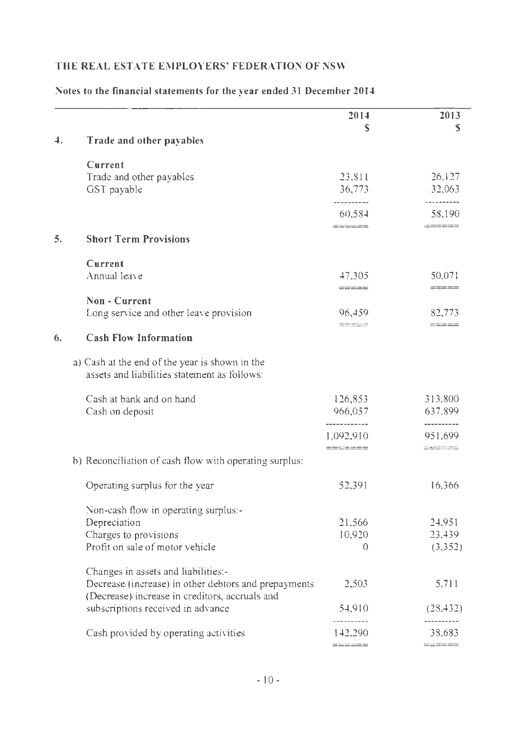|    |                                                                                                        | 2014                    | 2013                  |
|----|--------------------------------------------------------------------------------------------------------|-------------------------|-----------------------|
| 4. | Trade and other payables                                                                               | S                       | S                     |
|    | Current                                                                                                |                         |                       |
|    | Trade and other payables                                                                               | 23,811                  | 26,127                |
|    | GST payable                                                                                            | 36,773                  | 32,063                |
|    |                                                                                                        | ---------<br>60,584     | .<br>58,190           |
|    |                                                                                                        | ======                  | -------               |
| 5. | <b>Short Term Provisions</b>                                                                           |                         |                       |
|    | Current                                                                                                |                         |                       |
|    | Annual leave                                                                                           | 47,305                  | 50,071                |
|    | Non - Current                                                                                          | $=$ $=$ $=$ $=$ $=$ $=$ |                       |
|    | Long service and other leave provision                                                                 | 96,459                  | 82,773                |
|    |                                                                                                        | $=$ $=$ $=$ $=$         | $=$ $=$ $=$ $=$ $=$   |
| 6. | <b>Cash Flow Information</b>                                                                           |                         |                       |
|    | a) Cash at the end of the year is shown in the<br>assets and liabilities statement as follows:         |                         |                       |
|    | Cash at bank and on hand                                                                               | 126,853                 | 313,800               |
|    | Cash on deposit                                                                                        | 966,057                 | 637,899               |
|    |                                                                                                        | 1.092,910               | ----------<br>951.699 |
|    |                                                                                                        | =======                 | ======                |
|    | b) Reconciliation of eash flow with operating surplus:                                                 |                         |                       |
|    | Operating surplus for the year                                                                         | 52,391                  | 16,366                |
|    | Non-eash flow in operating surplus:-                                                                   |                         |                       |
|    | Depreciation                                                                                           | 21,566                  | 24,951                |
|    | Charges to provisions                                                                                  | 10.920                  | 23,439                |
|    | Profit on sale of motor vehicle                                                                        | $\Omega$                | (3,352)               |
|    | Changes in assets and liabilities:-                                                                    |                         |                       |
|    | Decrease/(increase) in other debtors and prepayments<br>(Decrease)/increase in creditors, accruals and | 2,503                   | 5,711                 |
|    | subscriptions received in advance                                                                      | 54,910                  | (28, 432)             |
|    | Cash provided by operating activities                                                                  | ----------<br>142.290   | ----------<br>38,683  |
|    |                                                                                                        | ======                  | $= = = = = = =$       |

#### **Notes to the financial statements for the year ended 31 December 2014**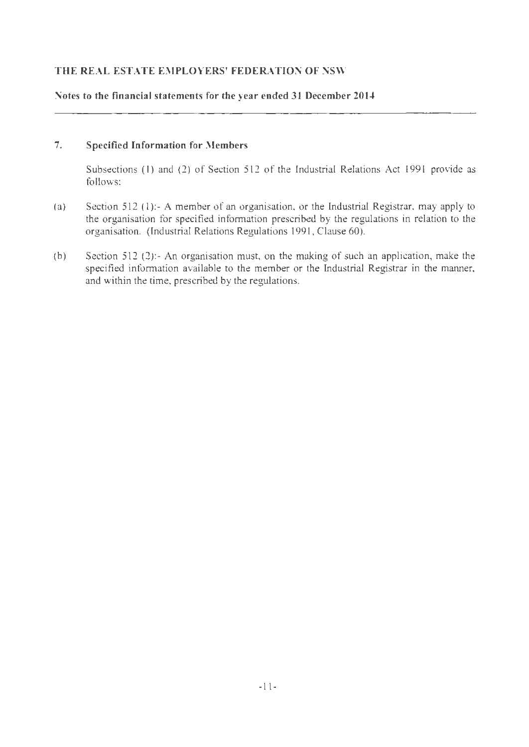#### Notes to the financial statements for the year ended 31 December 2014

#### 7. Specified Information for Members

Subsections (I) and (2) of Section 512 of the Industrial Relations Act 1991 provide as follows:

- (a) Section 512 (1):- A member of an organisation, or the Industrial Registrar, may apply to the organisation for specified information prescribed by the regul ations in relation to the organisation. (Industrial Relations Regulations 1991 , Clause 60).
- (b) Section 512 (2):- An organisation must, on the making of such an application, make the specified information available to the member or the Industrial Registrar in the manner, and within the time, prescribed by the regulations.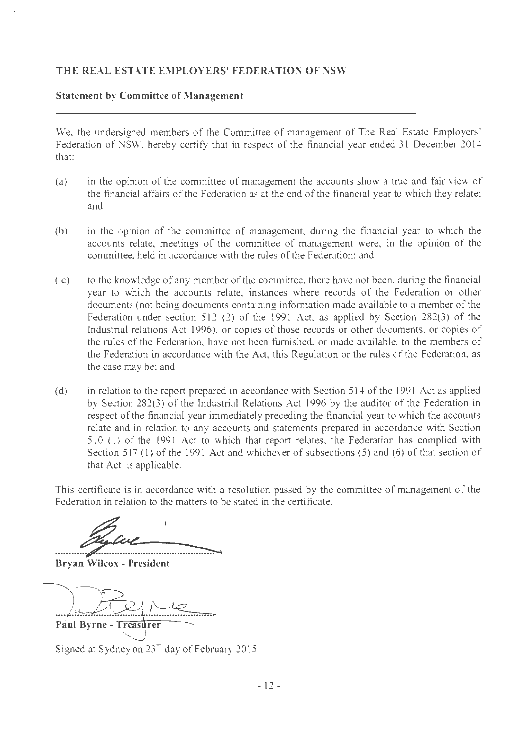#### **Statement by Committee of Management**

We, the undersigned members of the Committee of management of The Real Estate Employers' Federation of NSW, hereby certify that in respect of the financial year ended 31 December 2014 that:

- (a) in the opinion of the committee of management the accounts show a true and fair view of the financial affairs of the Federation as at the end of the financial year to which they relate; and
- (b) in the opinion of the committee of management, during the financial year to which the accounts relate, meetings of the committee of management were, in the opinion of the committee, held in accordance with the rules of the Federation; and
- ( c) to the knowledge of any member of the committee, there have not been, during the tinancial year to which the accounts relate, instances where records of the Federation or other documents (not being documents containing information made available to a member of the Federation under section 512 (2) of the 1991 Act, as applied by Section  $282(3)$  of the Industrial relations Act 1996), or copies of those records or other documents, or copies of the rules of the Federation, have not been furnished, or made available, to the members of the Federation in accordance with the Act, this Regulation or the rules of the Federation, as the case may be; and
- (d) in relation to the report prepared in accordance with Section 514 of the 1991 Act as applied by Section 282(3) of the Industrial Relations Act 1996 by the auditor of the Federation in respect of the financial year immediately preceding the financial year to which the accounts relate and in relation to any accounts and statements prepared in accordance with Section 510 (1) of the 1991 Act to which that report relates, the Federation has complied with Section 517 (I) of the 1991 Act and whichever of subsections (5) and (6) of that section of that Act is applicable.

This certificate is in accordance with a resolution passed by the committee of management of the Federation in relation to the matters to be stated in the certificate.

**Bryan Wilcox- President** 

Paul Byrne - Treasurer

Signed at Sydney on 23<sup>rd</sup> day of February 2015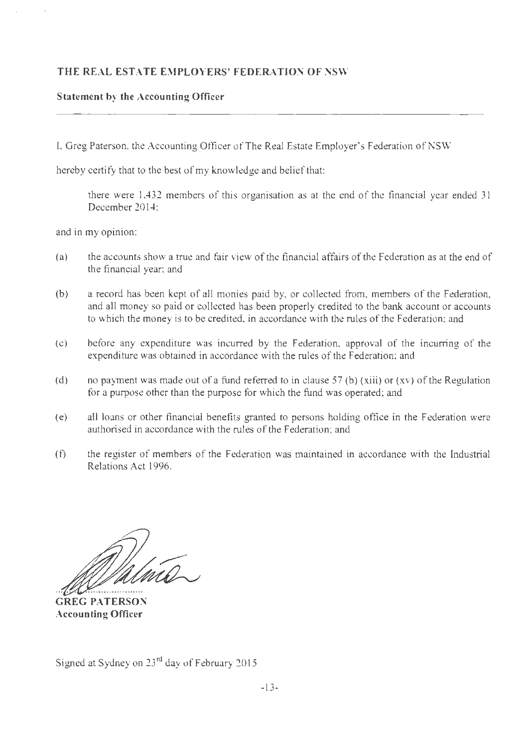#### **Statement by the Accounting Officer**

I, Greg Paterson, the Accounting Officer of The Real Estate Employer's Federation of NSW

hereby certify that to the best of my knowledge and belief that:

there were 1,432 members of this organisation as at the end of the financial year ended 31 December 2014;

and in my opinion:

- (a) the accounts show a true and fair view of the financial affairs ofthe Federation as at the end of the financial year; and
- (b) a record has been kept of all monies paid by, or collected from, members of the Federation, and all money so paid or collected has been properly credited to the bank account or accounts to which the money is to be credited, in accordance with the rules of the Federation; and
- (c) before any expenditure was incurred by the Federation, approval of the incurring of the expenditure was obtained in accordance with the rules of the Federation; and
- (d) no payment was made out of a fund referred to in clause 57 (b) (xiii) or (xv) of the Regulation for a purpose other than the purpose for which the fund was operated; and
- (e) all loans or other financial benefits granted to persons holding office in the Federation were authorised in accordance with the rules of the Federation; and
- (f) the register of members of the Federation was maintained in accordance with the Industrial Relations Act 1996.

**GREG PATERSON Accounting Officer** 

Signed at Sydney on 23<sup>rd</sup> day of February 2015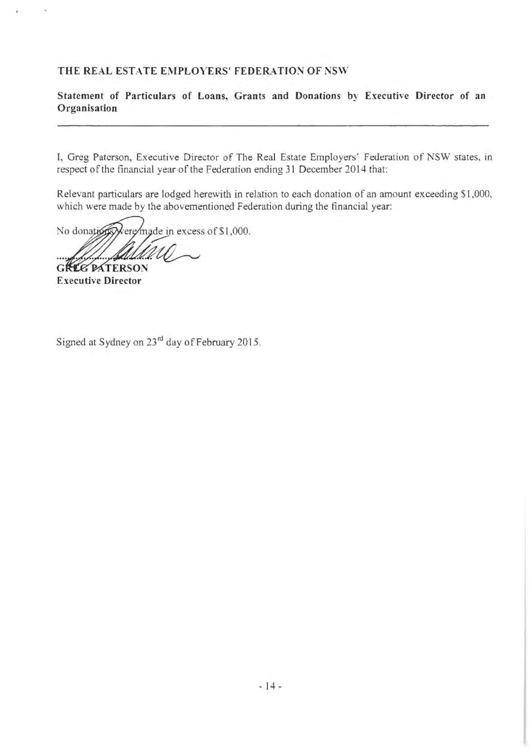**Statement of Particulars of Loans, Grants and Donations by Executive Director of an Organisation** 

**l,** Greg Paterson, Executive Director of The Real Estate Employers' Federation of NSW states, in respect of the financial year of the Federation ending 31 December 2014 that:

Relevant particulars are lodged herewith in relation to each donation of an amount exceeding 51,000, which were made by the abovementioned Federation during the financial year:

No donations were made in excess of \$1,000.

**GREG PATERSON** 

**Executive Director** 

Signed at Sydney on 23rd day of February 2015.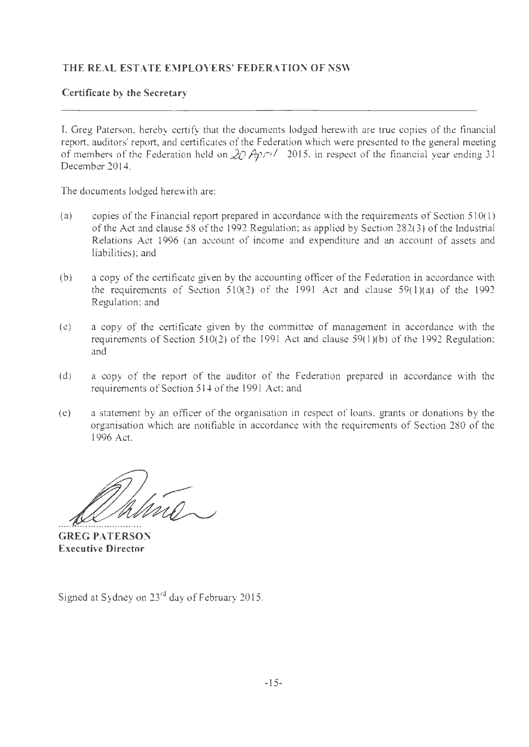#### **Certificate by the Secretary**

I, Greg Paterson, hereby certify that the documents lodged herewith are true copies of the financial report, auditors' report, and certificates of the Federation which were presented to the general meeting of members of the Federation held on *20 Apn/* 2015, in respect of the financial year ending 31 December 2014.

The documents lodged herewith are:

- (a) copies of the Financial report prepared in accordance with the requirements of Section  $510(1)$ of the Act and clause 58 of the 1992 Regulation; as applied by Section 282(3) of the Industrial Relations Act 1996 (an account of income and expenditure and an account of assets and liabilities); and
- (b) a copy of the certificate given by the accounting officer of the Federation in accordance with the requirements of Section  $510(2)$  of the 1991 Act and clause  $59(1)(a)$  of the 1992 Regulation; and
- (c) a copy of the certificate given by the committee of management in accordance with the requirements of Section 510(2) of the 1991 Act and clause 59(l)(b) of the 1992 Regulation; and
- (d) a copy of the report of the auditor of the Federation prepared m accordance with the requirements of Section 514 of the 1991 Act; and
- (e) a statement by an officer of the organisation in respect of loans, grants or donations by the organisation which are notifiable in accordance with the requirements of Section 280 of the 1996 Act.

**GREG PATERSON Executive Director** 

Signed at Sydney on 23rd day of February 2015.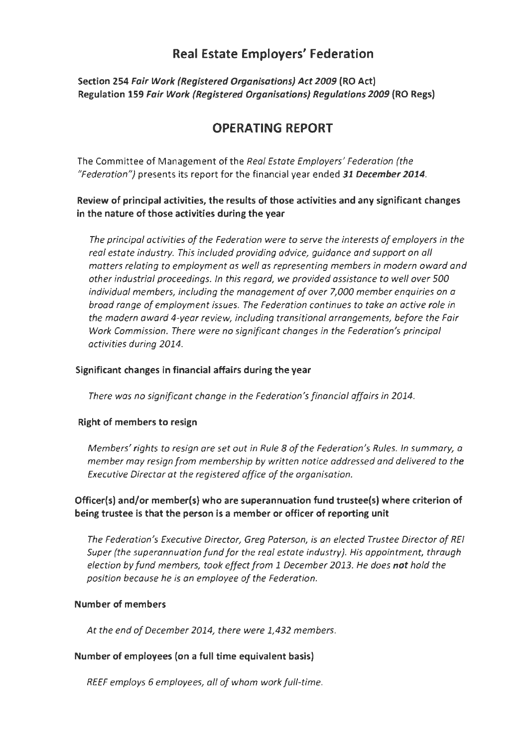# **Real Estate Employers' Federation**

**Section 254 Fair Work (Registered Organisations) Act 2009 (RO Act) Regulation 159 Fair Work (Registered Organisations) Regulations 2009 (RO Regs)** 

# **OPERATING REPORT**

The Committee of Management of the *Real Estate Employers' Federation (the "Federation")* presents its report for the financial year ended **31 December 2014.** 

#### **Review of principal activities, the results of those activities and any significant changes in the nature of those activities during the year**

*The principal activities of the Federation were to serve the interests of employers in the real estate industry. This included providing advice, guidance and support on all matters relating to employment as well as representing members in modern award and other industrial proceedings. In this regard, we provided assistance to well over 500 individual members, including the management of over 7,000 member enquiries on a broad range of employment issues. The Federation continues to take an active role in the modern award 4-year review, including transitional arrangements, before the Fair Work Commission. There were no significant changes in the Federation's principal activities during 2014.* 

#### **Significant changes in financial affairs during the year**

*There was no significant change in the Federation's financial affairs in 2014.* 

#### **Right of members to resign**

*Members' rights to resign are set out in Rule 8 of the Federation's Rules. In summary, a member may resign from membership by written notice addressed and delivered to the Executive Director at the registered office of the organisation.* 

#### **Officer(s) and/or member(s) who are superannuation fund trustee(s) where criterion of being trustee is that the person is a member or officer of reporting unit**

*The Federation's Executive Director, Greg Paterson, is an elected Trustee Director of REI Super (the superannuation fund for the real estate industry). His appointment, through election by fund members, took effect from 1 December 2013. He does* **not** *hold the position because he is an employee of the Federation.* 

#### **Number of members**

*At the end of December 2014, there were 1,432 members.* 

#### **Number of employees (on a full time equivalent basis)**

*REEF employs 6 employees, all of whom work full-time.*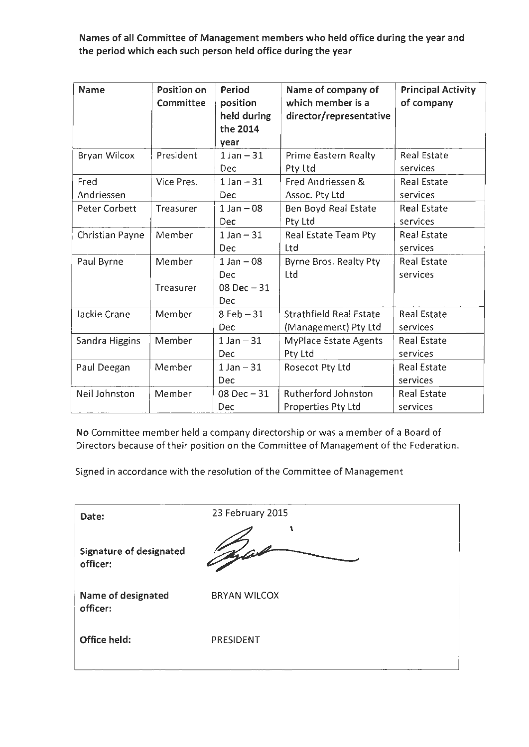Names of all Committee of Management members who held office during the year and the period which each such person held office during the year

| <b>Name</b>          | <b>Position on</b><br>Committee | Period<br>position<br>held during<br>the 2014<br>year | Name of company of<br>which member is a<br>director/representative | <b>Principal Activity</b><br>of company |
|----------------------|---------------------------------|-------------------------------------------------------|--------------------------------------------------------------------|-----------------------------------------|
| <b>Bryan Wilcox</b>  | President                       | $1$ Jan $-31$<br><b>Dec</b>                           | Prime Eastern Realty<br>Pty Ltd                                    | <b>Real Estate</b><br>services          |
| Fred<br>Andriessen   | Vice Pres.                      | $1 Jan - 31$<br>Dec.                                  | Fred Andriessen &<br>Assoc. Pty Ltd                                | <b>Real Estate</b><br>services          |
| <b>Peter Corbett</b> | Treasurer                       | $1$ Jan $-08$<br>Dec                                  | Ben Boyd Real Estate<br>Pty Ltd                                    | <b>Real Estate</b><br>services          |
| Christian Payne      | Member                          | $1$ Jan $-31$<br>Dec                                  | Real Estate Team Pty<br>Ltd                                        | <b>Real Estate</b><br>services          |
| Paul Byrne           | Member<br>Treasurer             | $1$ Jan $-08$<br>Dec<br>08 Dec $-31$                  | Byrne Bros. Realty Pty<br>Ltd                                      | <b>Real Estate</b><br>services          |
|                      |                                 | <b>Dec</b>                                            |                                                                    |                                         |
| Jackie Crane         | Member                          | $8$ Feb $-31$<br><b>Dec</b>                           | <b>Strathfield Real Estate</b><br>(Management) Pty Ltd             | <b>Real Estate</b><br>services          |
| Sandra Higgins       | Member                          | $1$ Jan $-31$<br>Dec                                  | MyPlace Estate Agents<br>Pty Ltd                                   | <b>Real Estate</b><br>services          |
| Paul Deegan          | Member                          | $1$ Jan $-31$<br>Dec                                  | Rosecot Pty Ltd                                                    | <b>Real Estate</b><br>services          |
| Neil Johnston        | Member                          | $08$ Dec $-31$<br>Dec                                 | <b>Rutherford Johnston</b><br>Properties Pty Ltd                   | <b>Real Estate</b><br>services          |

No Committee member held a company directorship or was a member of a Board of Directors because of their position on the Committee of Management of the Federation.

Signed in accordance with the resolution of the Committee of Management

| Date:                               | 23 February 2015    |
|-------------------------------------|---------------------|
| Signature of designated<br>officer: |                     |
| Name of designated<br>officer:      | <b>BRYAN WILCOX</b> |
| Office held:                        | PRESIDENT           |
|                                     |                     |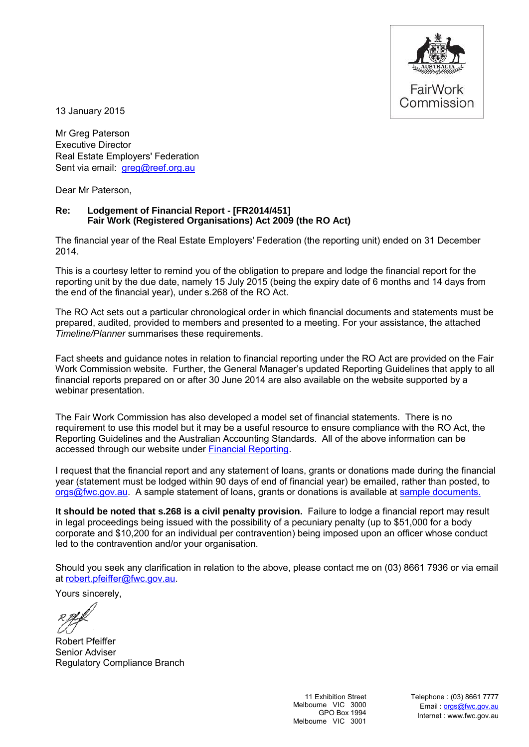

13 January 2015

Mr Greg Paterson Executive Director Real Estate Employers' Federation Sent via email: greg@reef.org.au

Dear Mr Paterson,

#### **Re: Lodgement of Financial Report - [FR2014/451] Fair Work (Registered Organisations) Act 2009 (the RO Act)**

The financial year of the Real Estate Employers' Federation (the reporting unit) ended on 31 December 2014.

This is a courtesy letter to remind you of the obligation to prepare and lodge the financial report for the reporting unit by the due date, namely 15 July 2015 (being the expiry date of 6 months and 14 days from the end of the financial year), under s.268 of the RO Act.

The RO Act sets out a particular chronological order in which financial documents and statements must be prepared, audited, provided to members and presented to a meeting. For your assistance, the attached *Timeline/Planner* summarises these requirements.

Fact sheets and guidance notes in relation to financial reporting under the RO Act are provided on the Fair Work Commission website. Further, the General Manager's updated Reporting Guidelines that apply to all financial reports prepared on or after 30 June 2014 are also available on the website supported by a webinar presentation.

The Fair Work Commission has also developed a model set of financial statements. There is no requirement to use this model but it may be a useful resource to ensure compliance with the RO Act, the Reporting Guidelines and the Australian Accounting Standards. All of the above information can be accessed through our website under [Financial Reporting.](https://www.fwc.gov.au/registered-organisations/compliance-governance/financial-reporting)

I request that the financial report and any statement of loans, grants or donations made during the financial year (statement must be lodged within 90 days of end of financial year) be emailed, rather than posted, to [orgs@fwc.gov.au.](mailto:orgs@fwc.gov.au) A sample statement of loans, grants or donations is available at sample documents.

**It should be noted that s.268 is a civil penalty provision.** Failure to lodge a financial report may result in legal proceedings being issued with the possibility of a pecuniary penalty (up to \$51,000 for a body corporate and \$10,200 for an individual per contravention) being imposed upon an officer whose conduct led to the contravention and/or your organisation.

Should you seek any clarification in relation to the above, please contact me on (03) 8661 7936 or via email at [robert.pfeiffer@fwc.gov.au.](mailto:robert.pfeiffer@fwc.gov.au)

Yours sincerely,

Robert Pfeiffer Senior Adviser Regulatory Compliance Branch

11 Exhibition Street Melbourne VIC 3000 GPO Box 1994 Melbourne VIC 3001